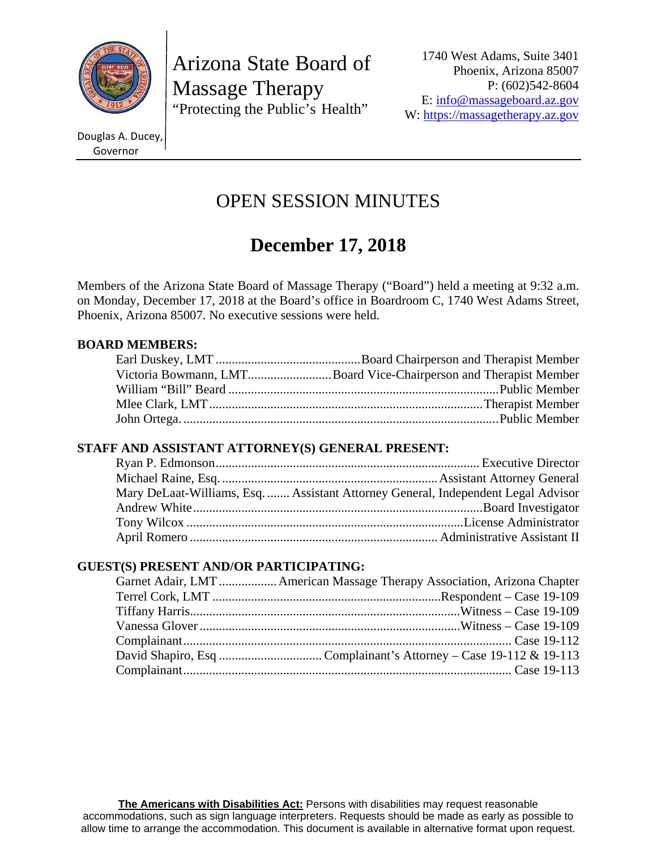

Arizona State Board of Massage Therapy "Protecting the Public's Health"

1740 West Adams, Suite 3401 Phoenix, Arizona 85007 P: (602)542-8604 E: info@massageboard.az.gov W: https://massagetherapy.az.gov

Douglas A. Ducey, Governor

# OPEN SESSION MINUTES

# **December 17, 2018**

Members of the Arizona State Board of Massage Therapy ("Board") held a meeting at 9:32 a.m. on Monday, December 17, 2018 at the Board's office in Boardroom C, 1740 West Adams Street, Phoenix, Arizona 85007. No executive sessions were held.

# **BOARD MEMBERS:**

| Victoria Bowmann, LMTBoard Vice-Chairperson and Therapist Member |
|------------------------------------------------------------------|
|                                                                  |
|                                                                  |
|                                                                  |

# **STAFF AND ASSISTANT ATTORNEY(S) GENERAL PRESENT:**

| Mary DeLaat-Williams, Esq.  Assistant Attorney General, Independent Legal Advisor |
|-----------------------------------------------------------------------------------|
|                                                                                   |
|                                                                                   |
|                                                                                   |

# **GUEST(S) PRESENT AND/OR PARTICIPATING:**

|  | Garnet Adair, LMT  American Massage Therapy Association, Arizona Chapter |
|--|--------------------------------------------------------------------------|
|  |                                                                          |
|  |                                                                          |
|  |                                                                          |
|  |                                                                          |
|  |                                                                          |
|  |                                                                          |
|  |                                                                          |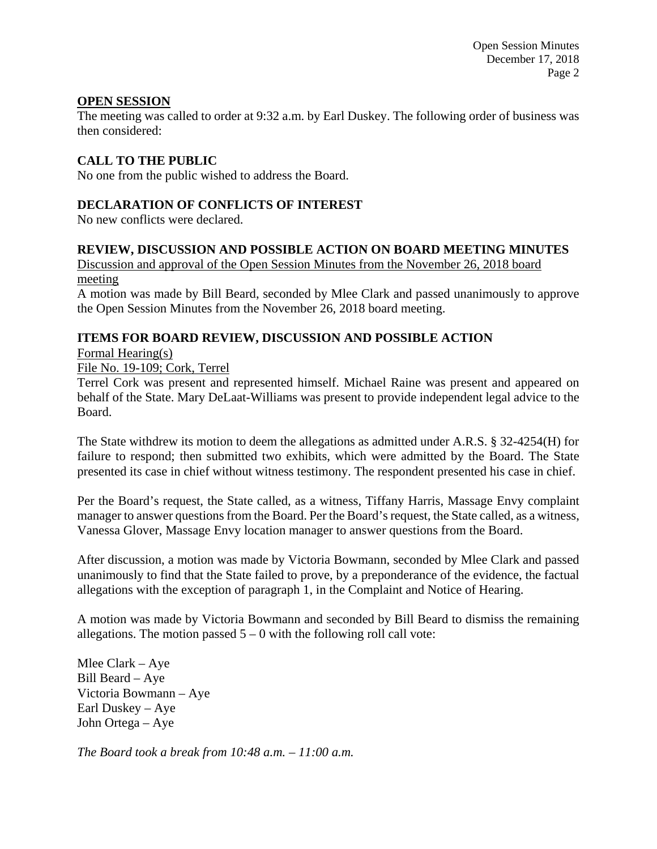Open Session Minutes December 17, 2018 Page 2

# **OPEN SESSION**

The meeting was called to order at 9:32 a.m. by Earl Duskey. The following order of business was then considered:

# **CALL TO THE PUBLIC**

No one from the public wished to address the Board.

#### **DECLARATION OF CONFLICTS OF INTEREST**

No new conflicts were declared.

#### **REVIEW, DISCUSSION AND POSSIBLE ACTION ON BOARD MEETING MINUTES**

Discussion and approval of the Open Session Minutes from the November 26, 2018 board meeting

A motion was made by Bill Beard, seconded by Mlee Clark and passed unanimously to approve the Open Session Minutes from the November 26, 2018 board meeting.

# **ITEMS FOR BOARD REVIEW, DISCUSSION AND POSSIBLE ACTION**

Formal Hearing(s)

File No. 19-109; Cork, Terrel

Terrel Cork was present and represented himself. Michael Raine was present and appeared on behalf of the State. Mary DeLaat-Williams was present to provide independent legal advice to the Board.

The State withdrew its motion to deem the allegations as admitted under A.R.S. § 32-4254(H) for failure to respond; then submitted two exhibits, which were admitted by the Board. The State presented its case in chief without witness testimony. The respondent presented his case in chief.

Per the Board's request, the State called, as a witness, Tiffany Harris, Massage Envy complaint manager to answer questions from the Board. Per the Board's request, the State called, as a witness, Vanessa Glover, Massage Envy location manager to answer questions from the Board.

After discussion, a motion was made by Victoria Bowmann, seconded by Mlee Clark and passed unanimously to find that the State failed to prove, by a preponderance of the evidence, the factual allegations with the exception of paragraph 1, in the Complaint and Notice of Hearing.

A motion was made by Victoria Bowmann and seconded by Bill Beard to dismiss the remaining allegations. The motion passed  $5 - 0$  with the following roll call vote:

Mlee Clark – Aye Bill Beard – Aye Victoria Bowmann – Aye Earl Duskey – Aye John Ortega – Aye

*The Board took a break from 10:48 a.m. – 11:00 a.m.*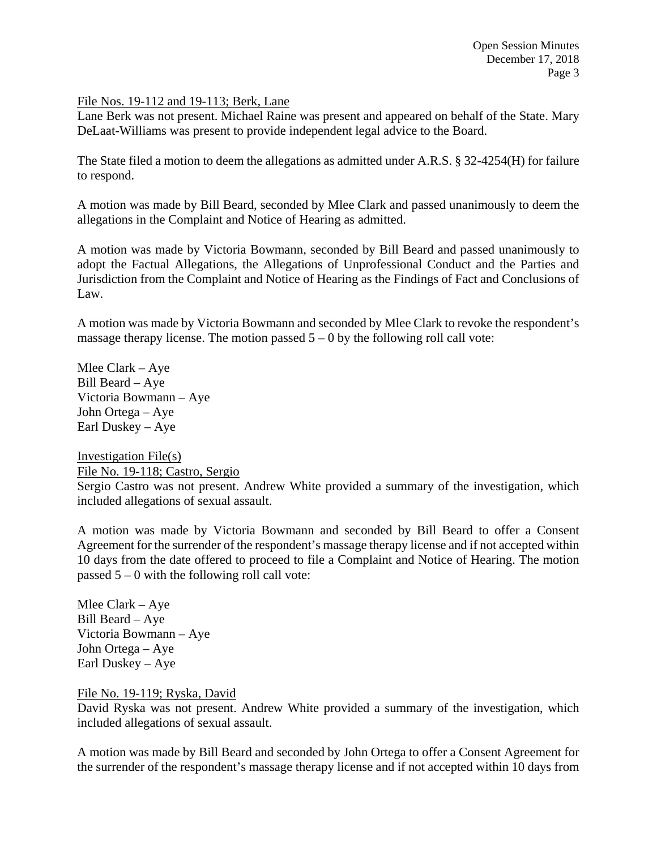#### File Nos. 19-112 and 19-113; Berk, Lane

Lane Berk was not present. Michael Raine was present and appeared on behalf of the State. Mary DeLaat-Williams was present to provide independent legal advice to the Board.

The State filed a motion to deem the allegations as admitted under A.R.S. § 32-4254(H) for failure to respond.

A motion was made by Bill Beard, seconded by Mlee Clark and passed unanimously to deem the allegations in the Complaint and Notice of Hearing as admitted.

A motion was made by Victoria Bowmann, seconded by Bill Beard and passed unanimously to adopt the Factual Allegations, the Allegations of Unprofessional Conduct and the Parties and Jurisdiction from the Complaint and Notice of Hearing as the Findings of Fact and Conclusions of Law.

A motion was made by Victoria Bowmann and seconded by Mlee Clark to revoke the respondent's massage therapy license. The motion passed  $5 - 0$  by the following roll call vote:

Mlee Clark – Aye Bill Beard – Aye Victoria Bowmann – Aye John Ortega – Aye Earl Duskey – Aye

Investigation File(s) File No. 19-118; Castro, Sergio Sergio Castro was not present. Andrew White provided a summary of the investigation, which included allegations of sexual assault.

A motion was made by Victoria Bowmann and seconded by Bill Beard to offer a Consent Agreement for the surrender of the respondent's massage therapy license and if not accepted within 10 days from the date offered to proceed to file a Complaint and Notice of Hearing. The motion passed  $5 - 0$  with the following roll call vote:

Mlee Clark – Aye Bill Beard – Aye Victoria Bowmann – Aye John Ortega – Aye Earl Duskey – Aye

File No. 19-119; Ryska, David

David Ryska was not present. Andrew White provided a summary of the investigation, which included allegations of sexual assault.

A motion was made by Bill Beard and seconded by John Ortega to offer a Consent Agreement for the surrender of the respondent's massage therapy license and if not accepted within 10 days from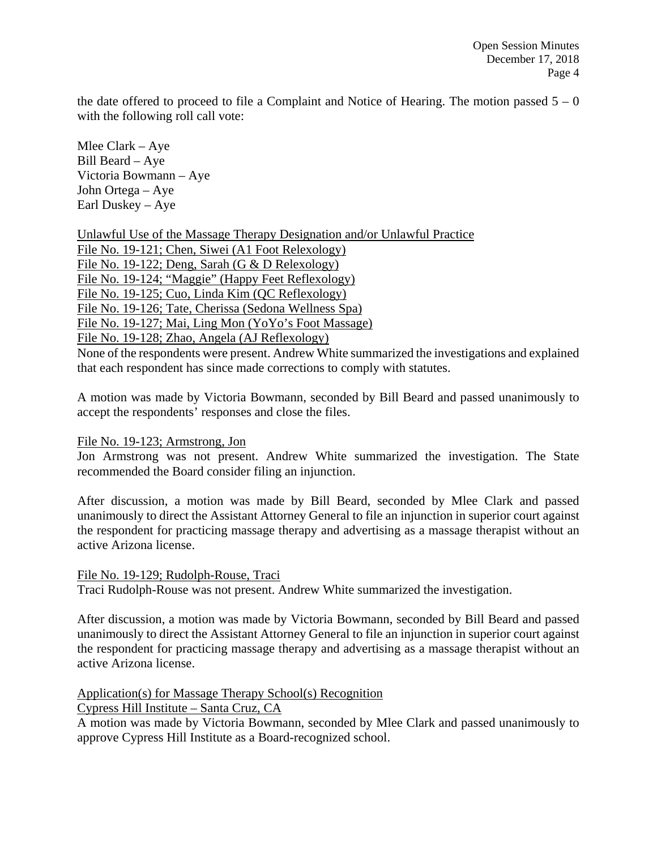the date offered to proceed to file a Complaint and Notice of Hearing. The motion passed  $5 - 0$ with the following roll call vote:

Mlee Clark – Aye Bill Beard – Aye Victoria Bowmann – Aye John Ortega – Aye Earl Duskey – Aye

Unlawful Use of the Massage Therapy Designation and/or Unlawful Practice File No. 19-121; Chen, Siwei (A1 Foot Relexology) File No. 19-122; Deng, Sarah (G & D Relexology) File No. 19-124; "Maggie" (Happy Feet Reflexology) File No. 19-125; Cuo, Linda Kim (QC Reflexology) File No. 19-126; Tate, Cherissa (Sedona Wellness Spa) File No. 19-127; Mai, Ling Mon (YoYo's Foot Massage) File No. 19-128; Zhao, Angela (AJ Reflexology) None of the respondents were present. Andrew White summarized the investigations and explained that each respondent has since made corrections to comply with statutes.

A motion was made by Victoria Bowmann, seconded by Bill Beard and passed unanimously to accept the respondents' responses and close the files.

File No. 19-123; Armstrong, Jon

Jon Armstrong was not present. Andrew White summarized the investigation. The State recommended the Board consider filing an injunction.

After discussion, a motion was made by Bill Beard, seconded by Mlee Clark and passed unanimously to direct the Assistant Attorney General to file an injunction in superior court against the respondent for practicing massage therapy and advertising as a massage therapist without an active Arizona license.

File No. 19-129; Rudolph-Rouse, Traci

Traci Rudolph-Rouse was not present. Andrew White summarized the investigation.

After discussion, a motion was made by Victoria Bowmann, seconded by Bill Beard and passed unanimously to direct the Assistant Attorney General to file an injunction in superior court against the respondent for practicing massage therapy and advertising as a massage therapist without an active Arizona license.

Application(s) for Massage Therapy School(s) Recognition

Cypress Hill Institute – Santa Cruz, CA

A motion was made by Victoria Bowmann, seconded by Mlee Clark and passed unanimously to approve Cypress Hill Institute as a Board-recognized school.